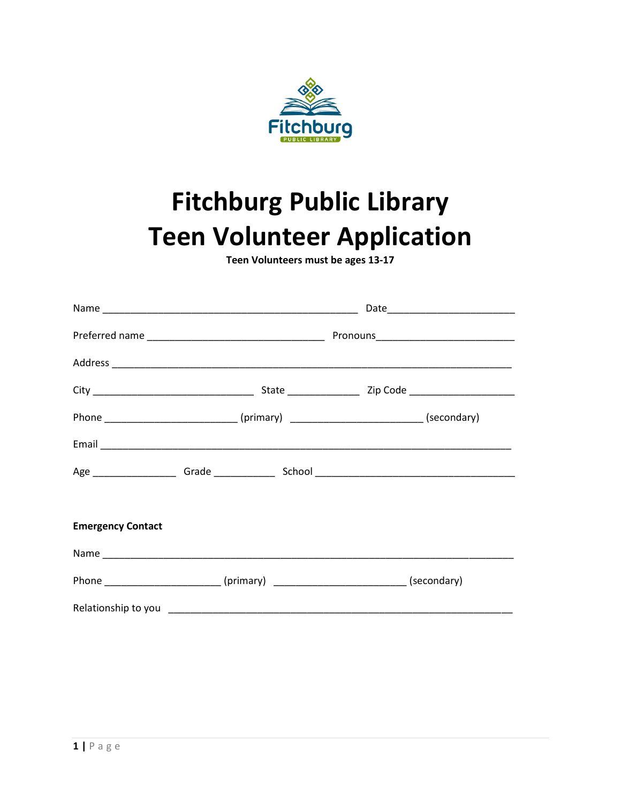

## **Fitchburg Public Library Teen Volunteer Application**

Teen Volunteers must be ages 13-17

|                          |                                                                           | Phone __________________________(primary) ___________________________(secondary) |  |  |
|--------------------------|---------------------------------------------------------------------------|----------------------------------------------------------------------------------|--|--|
|                          |                                                                           |                                                                                  |  |  |
|                          |                                                                           |                                                                                  |  |  |
|                          |                                                                           |                                                                                  |  |  |
| <b>Emergency Contact</b> |                                                                           |                                                                                  |  |  |
|                          |                                                                           |                                                                                  |  |  |
|                          | Phone ______________________(primary) ________________________(secondary) |                                                                                  |  |  |
|                          |                                                                           |                                                                                  |  |  |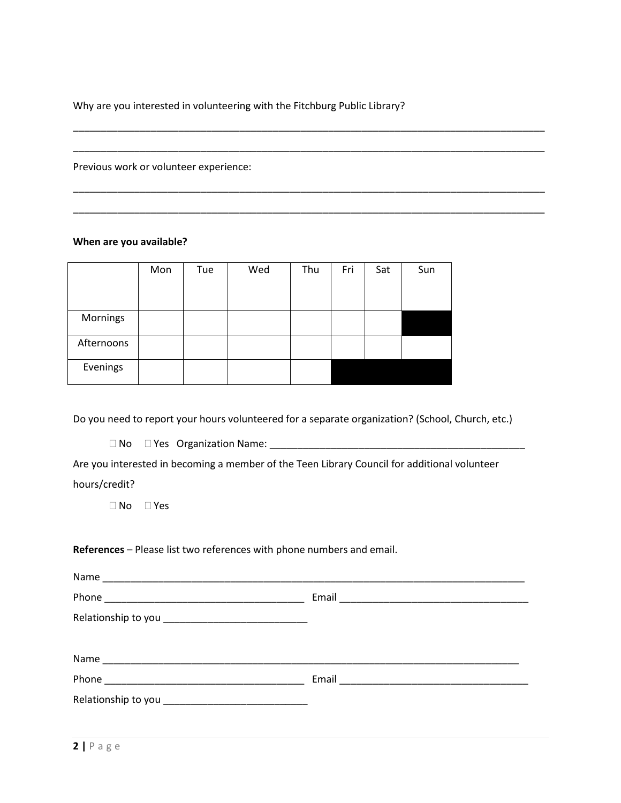Why are you interested in volunteering with the Fitchburg Public Library?

\_\_\_\_\_\_\_\_\_\_\_\_\_\_\_\_\_\_\_\_\_\_\_\_\_\_\_\_\_\_\_\_\_\_\_\_\_\_\_\_\_\_\_\_\_\_\_\_\_\_\_\_\_\_\_\_\_\_\_\_\_\_\_\_\_\_\_\_\_\_\_\_\_\_\_\_\_\_\_\_\_\_\_\_\_

\_\_\_\_\_\_\_\_\_\_\_\_\_\_\_\_\_\_\_\_\_\_\_\_\_\_\_\_\_\_\_\_\_\_\_\_\_\_\_\_\_\_\_\_\_\_\_\_\_\_\_\_\_\_\_\_\_\_\_\_\_\_\_\_\_\_\_\_\_\_\_\_\_\_\_\_\_\_\_\_\_\_\_\_\_

\_\_\_\_\_\_\_\_\_\_\_\_\_\_\_\_\_\_\_\_\_\_\_\_\_\_\_\_\_\_\_\_\_\_\_\_\_\_\_\_\_\_\_\_\_\_\_\_\_\_\_\_\_\_\_\_\_\_\_\_\_\_\_\_\_\_\_\_\_\_\_\_\_\_\_\_\_\_\_\_\_\_\_\_\_

\_\_\_\_\_\_\_\_\_\_\_\_\_\_\_\_\_\_\_\_\_\_\_\_\_\_\_\_\_\_\_\_\_\_\_\_\_\_\_\_\_\_\_\_\_\_\_\_\_\_\_\_\_\_\_\_\_\_\_\_\_\_\_\_\_\_\_\_\_\_\_\_\_\_\_\_\_\_\_\_\_\_\_\_\_

Previous work or volunteer experience:

**When are you available?**

|            | Mon | Tue | Wed | Thu | Fri | Sat | Sun |
|------------|-----|-----|-----|-----|-----|-----|-----|
|            |     |     |     |     |     |     |     |
| Mornings   |     |     |     |     |     |     |     |
| Afternoons |     |     |     |     |     |     |     |
| Evenings   |     |     |     |     |     |     |     |

Do you need to report your hours volunteered for a separate organization? (School, Church, etc.)

No Yes Organization Name: \_\_\_\_\_\_\_\_\_\_\_\_\_\_\_\_\_\_\_\_\_\_\_\_\_\_\_\_\_\_\_\_\_\_\_\_\_\_\_\_\_\_\_\_\_\_

Are you interested in becoming a member of the Teen Library Council for additional volunteer hours/credit?

No Yes

## **References** – Please list two references with phone numbers and email.